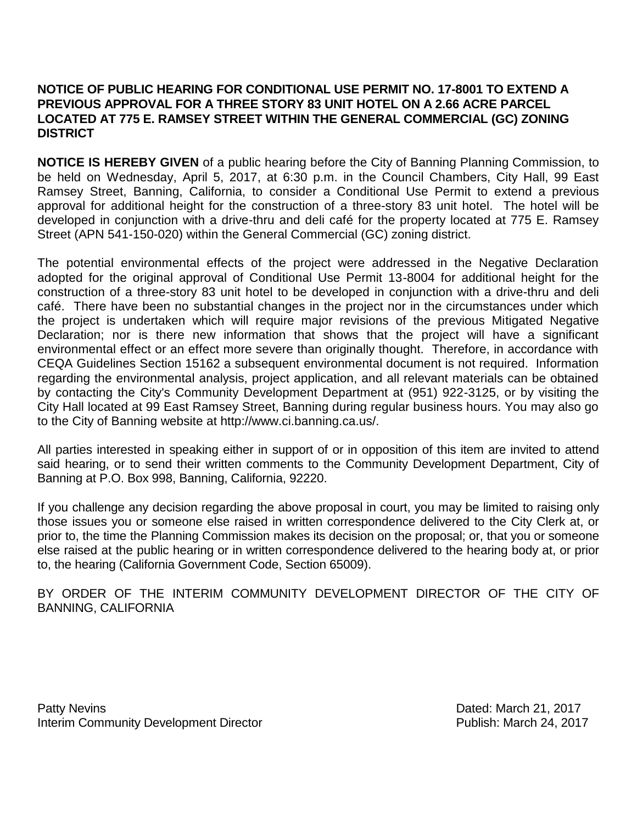## **NOTICE OF PUBLIC HEARING FOR CONDITIONAL USE PERMIT NO. 17-8001 TO EXTEND A PREVIOUS APPROVAL FOR A THREE STORY 83 UNIT HOTEL ON A 2.66 ACRE PARCEL LOCATED AT 775 E. RAMSEY STREET WITHIN THE GENERAL COMMERCIAL (GC) ZONING DISTRICT**

**NOTICE IS HEREBY GIVEN** of a public hearing before the City of Banning Planning Commission, to be held on Wednesday, April 5, 2017, at 6:30 p.m. in the Council Chambers, City Hall, 99 East Ramsey Street, Banning, California, to consider a Conditional Use Permit to extend a previous approval for additional height for the construction of a three-story 83 unit hotel. The hotel will be developed in conjunction with a drive-thru and deli café for the property located at 775 E. Ramsey Street (APN 541-150-020) within the General Commercial (GC) zoning district.

The potential environmental effects of the project were addressed in the Negative Declaration adopted for the original approval of Conditional Use Permit 13-8004 for additional height for the construction of a three-story 83 unit hotel to be developed in conjunction with a drive-thru and deli café. There have been no substantial changes in the project nor in the circumstances under which the project is undertaken which will require major revisions of the previous Mitigated Negative Declaration; nor is there new information that shows that the project will have a significant environmental effect or an effect more severe than originally thought. Therefore, in accordance with CEQA Guidelines Section 15162 a subsequent environmental document is not required. Information regarding the environmental analysis, project application, and all relevant materials can be obtained by contacting the City's Community Development Department at (951) 922-3125, or by visiting the City Hall located at 99 East Ramsey Street, Banning during regular business hours. You may also go to the City of Banning website at http://www.ci.banning.ca.us/.

All parties interested in speaking either in support of or in opposition of this item are invited to attend said hearing, or to send their written comments to the Community Development Department, City of Banning at P.O. Box 998, Banning, California, 92220.

If you challenge any decision regarding the above proposal in court, you may be limited to raising only those issues you or someone else raised in written correspondence delivered to the City Clerk at, or prior to, the time the Planning Commission makes its decision on the proposal; or, that you or someone else raised at the public hearing or in written correspondence delivered to the hearing body at, or prior to, the hearing (California Government Code, Section 65009).

BY ORDER OF THE INTERIM COMMUNITY DEVELOPMENT DIRECTOR OF THE CITY OF BANNING, CALIFORNIA

Patty Nevins Dated: March 21, 2017 Interim Community Development Director **Publish: March 24, 2017**